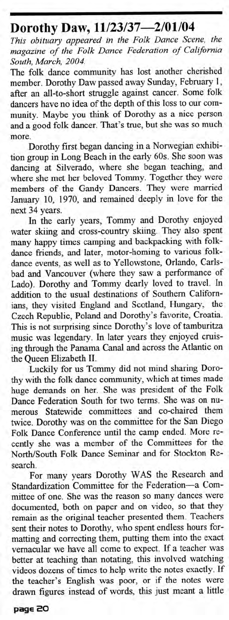## **Dorothy Daw,** 11/23/37—2/01/04

*This obituary appeared in the Folk Dance Scene, the magazine of the Folk Dance Federation of California South, March, 2004.*

The folk dance community has lost another cherished member. Dorothy Daw passed away Sunday, February 1, after an all-to-short struggle against cancer. Some folk dancers have no idea of the depth of this loss to our community. Maybe you think of Dorothy as a nice person and a good folk dancer. That's true, but she was so much more.

Dorothy first began dancing in a Norwegian exhibition group in Long Beach in the early 60s. She soon was dancing at Silverado, where she began teaching, and where she met her beloved Tommy. Together they were members of the Gandy Dancers. They were married January 10, 1970, and remained deeply in love for the next 34 years.

In the early years, Tommy and Dorothy enjoyed water skiing and cross-country skiing. They also spent many happy times camping and backpacking with folkdance friends, and later, motor-homing to various folkdance events, as well as to Yellowstone, Orlando, Carlsbad and Vancouver (where they saw a performance of Lado). Dorothy and Tommy dearly loved to travel. In addition to the usual destinations of Southern Californians, they visited England and Scotland, Hungary, the Czech Republic, Poland and Dorothy's favorite, Croatia. This is not surprising since Dorothy's love of tamburitza music was legendary. In later years they enjoyed cruising through the Panama Canal and across the Atlantic on the Queen Elizabeth II.

Luckily for us Tommy did not mind sharing Dorothy with the folk dance community, which at times made huge demands on her. She was president of the Folk Dance Federation South for two terms. She was on numerous Statewide committees and co-chaired them twice. Dorothy was on the committee for the San Diego Folk Dance Conference until the camp ended. More recently she was a member of the Committees for the North/South Folk Dance Seminar and for Stockton Research.

For many years Dorothy WAS the Research and Standardization Committee for the Federation—a Committee of one. She was the reason so many dances were documented, both on paper and on video, so that they remain as the original teacher presented them. Teachers sent their notes to Dorothy, who spent endless hours formatting and correcting them, putting them into the exact vernacular we have all come to expect. If a teacher was better at teaching than notating, this involved watching videos dozens of times to help write the notes exactly. If the teacher's English was poor, or if the notes were drawn figures instead of words, this just meant a little

**page 2O**